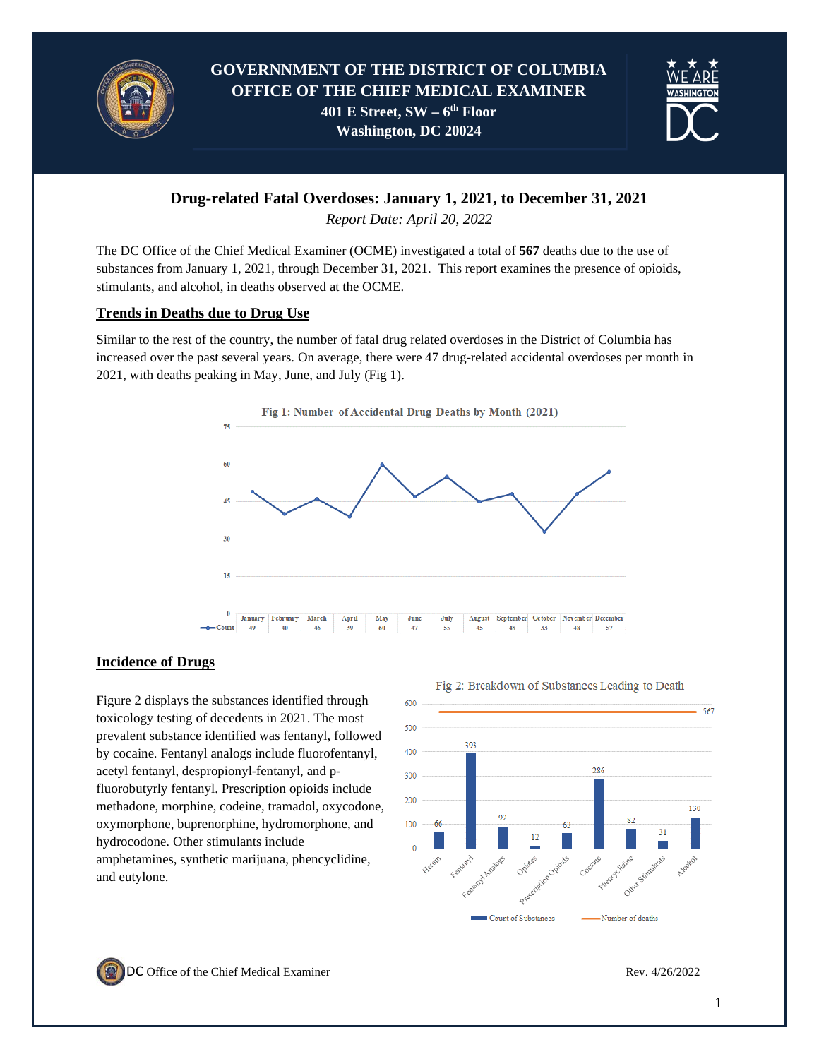



# **Drug-related Fatal Overdoses: January 1, 2021, to December 31, 2021**

*Report Date: April 20, 2022*

The DC Office of the Chief Medical Examiner (OCME) investigated a total of **567** deaths due to the use of substances from January 1, 2021, through December 31, 2021. This report examines the presence of opioids, stimulants, and alcohol, in deaths observed at the OCME.

### **Trends in Deaths due to Drug Use**

Similar to the rest of the country, the number of fatal drug related overdoses in the District of Columbia has increased over the past several years. On average, there were 47 drug-related accidental overdoses per month in 2021, with deaths peaking in May, June, and July (Fig 1).



## **Incidence of Drugs**

Figure 2 displays the substances identified through toxicology testing of decedents in 2021. The most prevalent substance identified was fentanyl, followed by cocaine. Fentanyl analogs include fluorofentanyl, acetyl fentanyl, despropionyl-fentanyl, and pfluorobutyrly fentanyl. Prescription opioids include methadone, morphine, codeine, tramadol, oxycodone, oxymorphone, buprenorphine, hydromorphone, and hydrocodone. Other stimulants include amphetamines, synthetic marijuana, phencyclidine, and eutylone.



Fig 2: Breakdown of Substances Leading to Death

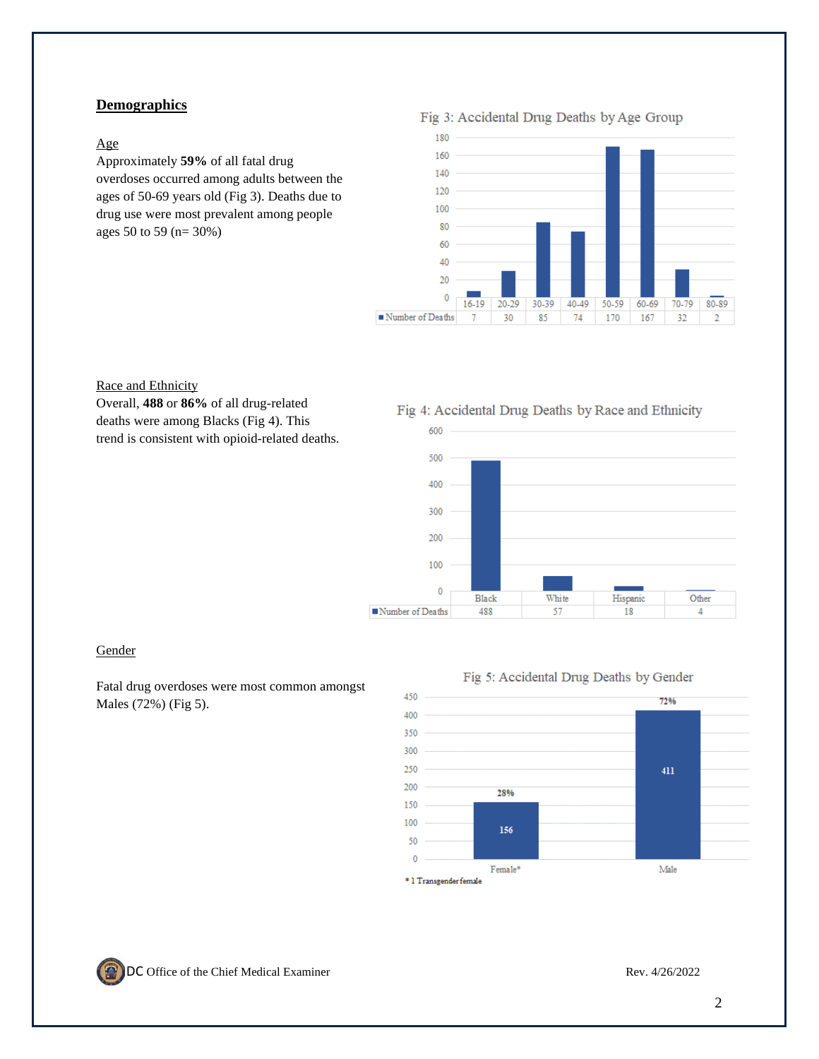### **Demographics**

#### Age

Approximately **59%** of all fatal drug overdoses occurred among adults between the ages of 50-69 years old (Fig 3). Deaths due to drug use were most prevalent among people ages 50 to 59 (n= 30%)

Fig 3: Accidental Drug Deaths by Age Group



#### Race and Ethnicity

Overall, **488** or **86%** of all drug-related deaths were among Blacks (Fig 4). This trend is consistent with opioid-related deaths.

#### Fig 4: Accidental Drug Deaths by Race and Ethnicity



#### **Gender**

Fatal drug overdoses were most common amongst Males (72%) (Fig 5).





\* 1 Transgender female

450

400 350